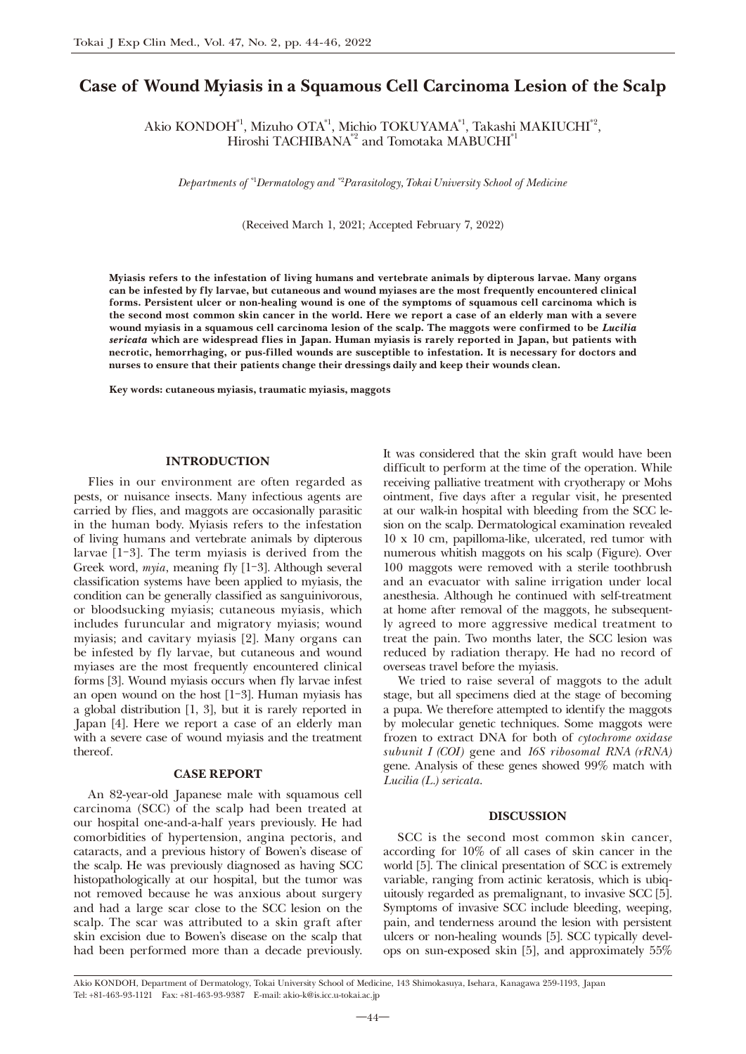## Case of Wound Myiasis in a Squamous Cell Carcinoma Lesion of the Scalp

Akio KONDOH\*1, Mizuho OTA\*1, Michio TOKUYAMA\*1, Takashi MAKIUCHI\*2, Hiroshi TACHIBANA<sup>\*2</sup> and Tomotaka MABUCHI<sup>\*1</sup>

*Departments of \**<sup>1</sup> *Dermatology and \**<sup>2</sup> *Parasitology, Tokai University School of Medicine*

(Received March 1, 2021; Accepted February 7, 2022)

Myiasis refers to the infestation of living humans and vertebrate animals by dipterous larvae. Many organs can be infested by fly larvae, but cutaneous and wound myiases are the most frequently encountered clinical forms. Persistent ulcer or non-healing wound is one of the symptoms of squamous cell carcinoma which is the second most common skin cancer in the world. Here we report a case of an elderly man with a severe wound myiasis in a squamous cell carcinoma lesion of the scalp. The maggots were confirmed to be *Lucilia* sericata which are widespread flies in Japan. Human myiasis is rarely reported in Japan, but patients with necrotic, hemorrhaging, or pus-filled wounds are susceptible to infestation. It is necessary for doctors and nurses to ensure that their patients change their dressings daily and keep their wounds clean.

Key words: cutaneous myiasis, traumatic myiasis, maggots

#### **INTRODUCTION**

Flies in our environment are often regarded as pests, or nuisance insects. Many infectious agents are carried by flies, and maggots are occasionally parasitic in the human body. Myiasis refers to the infestation of living humans and vertebrate animals by dipterous larvae [1-3]. The term myiasis is derived from the Greek word, *myia*, meaning fly [1-3]. Although several classification systems have been applied to myiasis, the condition can be generally classified as sanguinivorous, or bloodsucking myiasis; cutaneous myiasis, which includes furuncular and migratory myiasis; wound myiasis; and cavitary myiasis [2]. Many organs can be infested by fly larvae, but cutaneous and wound myiases are the most frequently encountered clinical forms [3]. Wound myiasis occurs when fly larvae infest an open wound on the host [1-3]. Human myiasis has a global distribution [1, 3], but it is rarely reported in Japan [4]. Here we report a case of an elderly man with a severe case of wound myiasis and the treatment thereof.

#### **CASE REPORT**

An 82-year-old Japanese male with squamous cell carcinoma (SCC) of the scalp had been treated at our hospital one-and-a-half years previously. He had comorbidities of hypertension, angina pectoris, and cataracts, and a previous history of Bowen's disease of the scalp. He was previously diagnosed as having SCC histopathologically at our hospital, but the tumor was not removed because he was anxious about surgery and had a large scar close to the SCC lesion on the scalp. The scar was attributed to a skin graft after skin excision due to Bowen's disease on the scalp that had been performed more than a decade previously. It was considered that the skin graft would have been difficult to perform at the time of the operation. While receiving palliative treatment with cryotherapy or Mohs ointment, five days after a regular visit, he presented at our walk-in hospital with bleeding from the SCC lesion on the scalp. Dermatological examination revealed 10 x 10 cm, papilloma-like, ulcerated, red tumor with numerous whitish maggots on his scalp (Figure). Over 100 maggots were removed with a sterile toothbrush and an evacuator with saline irrigation under local anesthesia. Although he continued with self-treatment at home after removal of the maggots, he subsequently agreed to more aggressive medical treatment to treat the pain. Two months later, the SCC lesion was reduced by radiation therapy. He had no record of overseas travel before the myiasis.

We tried to raise several of maggots to the adult stage, but all specimens died at the stage of becoming a pupa. We therefore attempted to identify the maggots by molecular genetic techniques. Some maggots were frozen to extract DNA for both of *cytochrome oxidase subunit I (COI)* gene and *16S ribosomal RNA (rRNA)*  gene. Analysis of these genes showed 99% match with *Lucilia (L.) sericata*.

#### DISCUSSION

SCC is the second most common skin cancer, according for 10% of all cases of skin cancer in the world [5]. The clinical presentation of SCC is extremely variable, ranging from actinic keratosis, which is ubiquitously regarded as premalignant, to invasive SCC [5]. Symptoms of invasive SCC include bleeding, weeping, pain, and tenderness around the lesion with persistent ulcers or non-healing wounds [5]. SCC typically develops on sun-exposed skin [5], and approximately 55%

Akio KONDOH, Department of Dermatology, Tokai University School of Medicine, 143 Shimokasuya, Isehara, Kanagawa 259-1193, Japan Tel: +81-463-93-1121 Fax: +81-463-93-9387 E-mail: akio-k@is.icc.u-tokai.ac.jp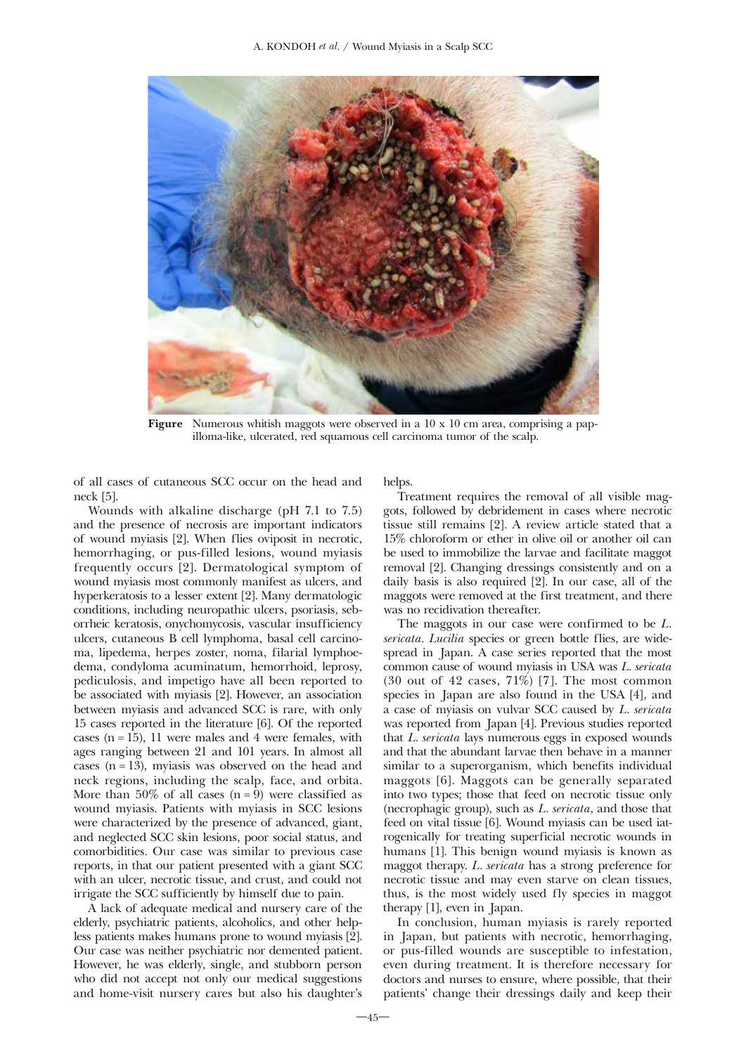

**Figure** Numerous whitish maggots were observed in a  $10 \times 10$  cm area, comprising a papilloma-like, ulcerated, red squamous cell carcinoma tumor of the scalp.

of all cases of cutaneous SCC occur on the head and neck [5].

Wounds with alkaline discharge (pH 7.1 to 7.5) and the presence of necrosis are important indicators of wound myiasis [2]. When flies oviposit in necrotic, hemorrhaging, or pus-filled lesions, wound myiasis frequently occurs [2]. Dermatological symptom of wound myiasis most commonly manifest as ulcers, and hyperkeratosis to a lesser extent [2]. Many dermatologic conditions, including neuropathic ulcers, psoriasis, seborrheic keratosis, onychomycosis, vascular insufficiency ulcers, cutaneous B cell lymphoma, basal cell carcinoma, lipedema, herpes zoster, noma, filarial lymphoedema, condyloma acuminatum, hemorrhoid, leprosy, pediculosis, and impetigo have all been reported to be associated with myiasis [2]. However, an association between myiasis and advanced SCC is rare, with only 15 cases reported in the literature [6]. Of the reported cases  $(n = 15)$ , 11 were males and 4 were females, with ages ranging between 21 and 101 years. In almost all cases  $(n = 13)$ , myiasis was observed on the head and neck regions, including the scalp, face, and orbita. More than 50% of all cases  $(n = 9)$  were classified as wound myiasis. Patients with myiasis in SCC lesions were characterized by the presence of advanced, giant, and neglected SCC skin lesions, poor social status, and comorbidities. Our case was similar to previous case reports, in that our patient presented with a giant SCC with an ulcer, necrotic tissue, and crust, and could not irrigate the SCC sufficiently by himself due to pain.

A lack of adequate medical and nursery care of the elderly, psychiatric patients, alcoholics, and other helpless patients makes humans prone to wound myiasis [2]. Our case was neither psychiatric nor demented patient. However, he was elderly, single, and stubborn person who did not accept not only our medical suggestions and home-visit nursery cares but also his daughter's

helps.

Treatment requires the removal of all visible maggots, followed by debridement in cases where necrotic tissue still remains [2]. A review article stated that a 15% chloroform or ether in olive oil or another oil can be used to immobilize the larvae and facilitate maggot removal [2]. Changing dressings consistently and on a daily basis is also required [2]. In our case, all of the maggots were removed at the first treatment, and there was no recidivation thereafter.

The maggots in our case were confirmed to be *L. sericata*. *Lucilia* species or green bottle flies, are widespread in Japan. A case series reported that the most common cause of wound myiasis in USA was *L. sericata*  $(30 \text{ out of } 42 \text{ cases}, 71\%)$  [7]. The most common species in Japan are also found in the USA [4], and a case of myiasis on vulvar SCC caused by *L. sericata*  was reported from Japan [4]. Previous studies reported that *L. sericata* lays numerous eggs in exposed wounds and that the abundant larvae then behave in a manner similar to a superorganism, which benefits individual maggots [6]. Maggots can be generally separated into two types; those that feed on necrotic tissue only (necrophagic group), such as *L. sericata*, and those that feed on vital tissue [6]. Wound myiasis can be used iatrogenically for treating superficial necrotic wounds in humans [1]. This benign wound myiasis is known as maggot therapy. *L. sericata* has a strong preference for necrotic tissue and may even starve on clean tissues, thus, is the most widely used fly species in maggot therapy [1], even in Japan.

In conclusion, human myiasis is rarely reported in Japan, but patients with necrotic, hemorrhaging, or pus-filled wounds are susceptible to infestation, even during treatment. It is therefore necessary for doctors and nurses to ensure, where possible, that their patients' change their dressings daily and keep their